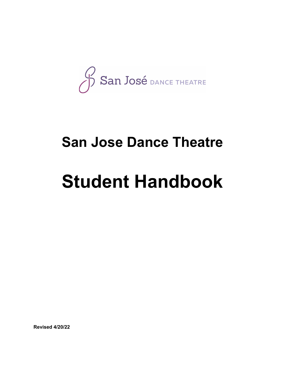San José DANCE THEATRE

# **San Jose Dance Theatre**

# **Student Handbook**

**Revised 4/20/22**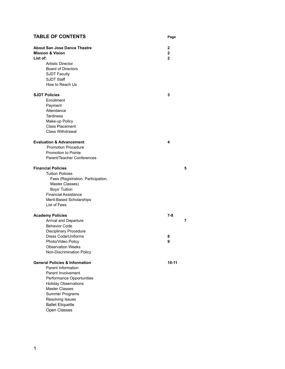# **TABLE OF CONTENTS Page**

| <b>About San Jose Dance Theatre</b><br><b>Mission &amp; Vision</b> | $\mathbf{2}$<br>$\overline{2}$ |
|--------------------------------------------------------------------|--------------------------------|
| List of:                                                           | $\overline{2}$                 |
| <b>Artistic Director</b>                                           |                                |
| <b>Board of Directors</b>                                          |                                |
| <b>SJDT Faculty</b>                                                |                                |
| <b>SJDT Staff</b>                                                  |                                |
| How to Reach Us                                                    |                                |
|                                                                    |                                |
| <b>SJDT Policies</b>                                               | 3                              |
| Enrollment                                                         |                                |
| Payment                                                            |                                |
| Attendance                                                         |                                |
| <b>Tardiness</b>                                                   |                                |
| Make-up Policy                                                     |                                |
| <b>Class Placement</b>                                             |                                |
| <b>Class Withdrawal</b>                                            |                                |
|                                                                    |                                |
| <b>Evaluation &amp; Advancement</b>                                | 4                              |
| <b>Promotion Procedure</b>                                         |                                |
| <b>Promotion to Pointe</b>                                         |                                |
| Parent/Teacher Conferences                                         |                                |
|                                                                    |                                |
| <b>Financial Policies</b>                                          | 5                              |
| <b>Tuition Policies</b>                                            |                                |
| Fees (Registration, Participation,                                 |                                |
| Master Classes)                                                    |                                |
| Boys' Tuition                                                      |                                |
| <b>Financial Assistance</b>                                        |                                |
| Merit-Based Scholarships                                           |                                |
| List of Fees                                                       |                                |
|                                                                    |                                |
| <b>Academy Policies</b>                                            | $7 - 8$                        |
| Arrival and Departure                                              | 7                              |
| <b>Behavior Code</b>                                               |                                |
| <b>Disciplinary Procedure</b>                                      |                                |
| Dress Code/Uniforms                                                | 8                              |
| Photo/Video Policy                                                 | 9                              |
| <b>Observation Weeks</b>                                           |                                |
| Non-Discrimination Policy                                          |                                |
|                                                                    |                                |
| <b>General Policies &amp; Information</b>                          | 10-11                          |
| Parent Information                                                 |                                |
| Parent Involvement                                                 |                                |
| Performance Opportunities                                          |                                |
| <b>Holiday Observations</b>                                        |                                |
| <b>Master Classes</b>                                              |                                |
| Summer Programs                                                    |                                |
| Resolving Issues                                                   |                                |
| <b>Ballet Etiquette</b>                                            |                                |
| Open Classes                                                       |                                |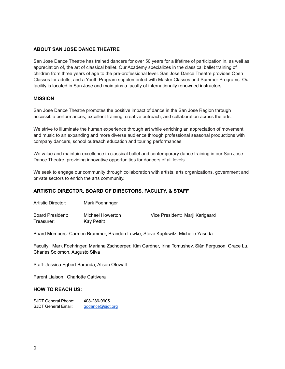#### **ABOUT SAN JOSE DANCE THEATRE**

San Jose Dance Theatre has trained dancers for over 50 years for a lifetime of participation in, as well as appreciation of, the art of classical ballet. Our Academy specializes in the classical ballet training of children from three years of age to the pre-professional level. San Jose Dance Theatre provides Open Classes for adults, and a Youth Program supplemented with Master Classes and Summer Programs. Our facility is located in San Jose and maintains a faculty of internationally renowned instructors.

#### **MISSION**

San Jose Dance Theatre promotes the positive impact of dance in the San Jose Region through accessible performances, excellent training, creative outreach, and collaboration across the arts.

We strive to illuminate the human experience through art while enriching an appreciation of movement and music to an expanding and more diverse audience through professional seasonal productions with company dancers, school outreach education and touring performances.

We value and maintain excellence in classical ballet and contemporary dance training in our San Jose Dance Theatre, providing innovative opportunities for dancers of all levels.

We seek to engage our community through collaboration with artists, arts organizations, government and private sectors to enrich the arts community.

#### **ARTISTIC DIRECTOR, BOARD OF DIRECTORS, FACULTY, & STAFF**

| Board President: | Michael Howerton | Vice President: Marii Karlgaard |
|------------------|------------------|---------------------------------|
| Treasurer:       | Kay Pettitt      |                                 |

Board Members: Carmen Brammer, Brandon Lewke, Steve Kaplowitz, Michelle Yasuda

Faculty: Mark Foehringer, Mariana Zschoerper, Kim Gardner, Irina Tomushev, Siân Ferguson, Grace Lu, Charles Solomon, Augusto Silva

Staff: Jessica Egbert Baranda, Alison Otewalt

Artistic Director: Mark Foehringer

Parent Liaison: Charlotte Cattivera

#### **HOW TO REACH US:**

SJDT General Phone: 408-286-9905 SJDT General Email: godance@sidt.org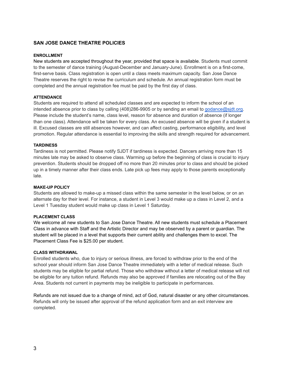#### **SAN JOSE DANCE THEATRE POLICIES**

#### **ENROLLMENT**

New students are accepted throughout the year, provided that space is available. Students must commit to the semester of dance training (August-December and January-June). Enrollment is on a first-come, first-serve basis. Class registration is open until a class meets maximum capacity. San Jose Dance Theatre reserves the right to revise the curriculum and schedule. An annual registration form must be completed and the annual registration fee must be paid by the first day of class.

#### **ATTENDANCE**

Students are required to attend all scheduled classes and are expected to inform the school of an intended absence prior to class by calling (408)286-9905 or by sending an email to [godance@sjdt.org.](mailto:godance@sjdt.org) Please include the student's name, class level, reason for absence and duration of absence (if longer than one class). Attendance will be taken for every class. An excused absence will be given if a student is ill. Excused classes are still absences however, and can affect casting, performance eligibility, and level promotion. Regular attendance is essential to improving the skills and strength required for advancement.

#### **TARDINESS**

Tardiness is not permitted. Please notify SJDT if tardiness is expected. Dancers arriving more than 15 minutes late may be asked to observe class. Warming up before the beginning of class is crucial to injury prevention. Students should be dropped off no more than 20 minutes prior to class and should be picked up in a timely manner after their class ends. Late pick up fees may apply to those parents exceptionally late.

#### **MAKE-UP POLICY**

Students are allowed to make-up a missed class within the same semester in the level below, or on an alternate day for their level. For instance, a student in Level 3 would make up a class in Level 2, and a Level 1 Tuesday student would make up class in Level 1 Saturday.

#### **PLACEMENT CLASS**

We welcome all new students to San Jose Dance Theatre. All new students must schedule a Placement Class in advance with Staff and the Artistic Director and may be observed by a parent or guardian. The student will be placed in a level that supports their current ability and challenges them to excel. The Placement Class Fee is \$25.00 per student.

#### **CLASS WITHDRAWAL**

Enrolled students who, due to injury or serious illness, are forced to withdraw prior to the end of the school year should inform San Jose Dance Theatre immediately with a letter of medical release. Such students may be eligible for partial refund. Those who withdraw without a letter of medical release will not be eligible for any tuition refund. Refunds may also be approved if families are relocating out of the Bay Area. Students not current in payments may be ineligible to participate in performances.

Refunds are not issued due to a change of mind, act of God, natural disaster or any other circumstances. Refunds will only be issued after approval of the refund application form and an exit interview are completed.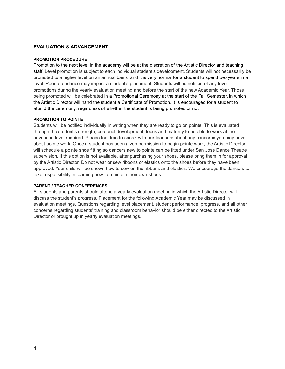#### **EVALUATION & ADVANCEMENT**

#### **PROMOTION PROCEDURE**

Promotion to the next level in the academy will be at the discretion of the Artistic Director and teaching staff. Level promotion is subject to each individual student's development. Students will not necessarily be promoted to a higher level on an annual basis, and it is very normal for a student to spend two years in a level. Poor attendance may impact a student's placement. Students will be notified of any level promotions during the yearly evaluation meeting and before the start of the new Academic Year. Those being promoted will be celebrated in a Promotional Ceremony at the start of the Fall Semester, in which the Artistic Director will hand the student a Certificate of Promotion. It is encouraged for a student to attend the ceremony, regardless of whether the student is being promoted or not.

#### **PROMOTION TO POINTE**

Students will be notified individually in writing when they are ready to go on pointe. This is evaluated through the student's strength, personal development, focus and maturity to be able to work at the advanced level required. Please feel free to speak with our teachers about any concerns you may have about pointe work. Once a student has been given permission to begin pointe work, the Artistic Director will schedule a pointe shoe fitting so dancers new to pointe can be fitted under San Jose Dance Theatre supervision. If this option is not available, after purchasing your shoes, please bring them in for approval by the Artistic Director. Do not wear or sew ribbons or elastics onto the shoes before they have been approved. Your child will be shown how to sew on the ribbons and elastics. We encourage the dancers to take responsibility in learning how to maintain their own shoes.

#### **PARENT / TEACHER CONFERENCES**

All students and parents should attend a yearly evaluation meeting in which the Artistic Director will discuss the student's progress. Placement for the following Academic Year may be discussed in evaluation meetings. Questions regarding level placement, student performance, progress, and all other concerns regarding students' training and classroom behavior should be either directed to the Artistic Director or brought up in yearly evaluation meetings.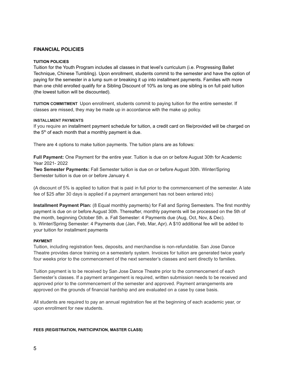#### **FINANCIAL POLICIES**

#### **TUITION POLICIES**

Tuition for the Youth Program includes all classes in that level's curriculum (i.e. Progressing Ballet Technique, Chinese Tumbling). Upon enrollment, students commit to the semester and have the option of paying for the semester in a lump sum or breaking it up into installment payments. Families with more than one child enrolled qualify for a Sibling Discount of 10% as long as one sibling is on full paid tuition (the lowest tuition will be discounted).

**TUITION COMMITMENT** Upon enrollment, students commit to paying tuition for the entire semester. If classes are missed, they may be made up in accordance with the make up policy.

#### **INSTALLMENT PAYMENTS**

If you require an installment payment schedule for tuition, a credit card on file/provided will be charged on the  $5<sup>th</sup>$  of each month that a monthly payment is due.

There are 4 options to make tuition payments. The tuition plans are as follows:

**Full Payment:** One Payment for the entire year. Tuition is due on or before August 30th for Academic Year 2021- 2022

**Two Semester Payments:** Fall Semester tuition is due on or before August 30th. Winter/Spring Semester tuition is due on or before January 4.

(A discount of 5% is applied to tuition that is paid in full prior to the commencement of the semester. A late fee of \$25 after 30 days is applied if a payment arrangement has not been entered into)

**Installment Payment Plan:** (8 Equal monthly payments) for Fall and Spring Semesters. The first monthly payment is due on or before August 30th. Thereafter, monthly payments will be processed on the 5th of the month, beginning October 5th. a. Fall Semester: 4 Payments due (Aug, Oct, Nov, & Dec). b. Winter/Spring Semester: 4 Payments due (Jan, Feb, Mar, Apr). A \$10 additional fee will be added to your tuition for installment payments

#### **PAYMENT**

Tuition, including registration fees, deposits, and merchandise is non-refundable. San Jose Dance Theatre provides dance training on a semesterly system. Invoices for tuition are generated twice yearly four weeks prior to the commencement of the next semester's classes and sent directly to families.

Tuition payment is to be received by San Jose Dance Theatre prior to the commencement of each Semester's classes. If a payment arrangement is required, written submission needs to be received and approved prior to the commencement of the semester and approved. Payment arrangements are approved on the grounds of financial hardship and are evaluated on a case by case basis.

All students are required to pay an annual registration fee at the beginning of each academic year, or upon enrollment for new students.

#### **FEES (REGISTRATION, PARTICIPATION, MASTER CLASS)**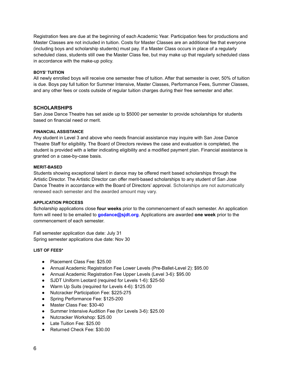Registration fees are due at the beginning of each Academic Year. Participation fees for productions and Master Classes are not included in tuition. Costs for Master Classes are an additional fee that everyone (including boys and scholarship students) must pay. If a Master Class occurs in place of a regularly scheduled class, students still owe the Master Class fee, but may make up that regularly scheduled class in accordance with the make-up policy.

#### **BOYS' TUITION**

All newly enrolled boys will receive one semester free of tuition. After that semester is over, 50% of tuition is due. Boys pay full tuition for Summer Intensive, Master Classes, Performance Fees, Summer Classes, and any other fees or costs outside of regular tuition charges during their free semester and after.

#### **SCHOLARSHIPS**

San Jose Dance Theatre has set aside up to \$5000 per semester to provide scholarships for students based on financial need or merit.

#### **FINANCIAL ASSISTANCE**

Any student in Level 3 and above who needs financial assistance may inquire with San Jose Dance Theatre Staff for eligibility. The Board of Directors reviews the case and evaluation is completed, the student is provided with a letter indicating eligibility and a modified payment plan. Financial assistance is granted on a case-by-case basis.

#### **MERIT-BASED**

Students showing exceptional talent in dance may be offered merit based scholarships through the Artistic Director. The Artistic Director can offer merit-based scholarships to any student of San Jose Dance Theatre in accordance with the Board of Directors' approval. Scholarships are not automatically renewed each semester and the awarded amount may vary.

#### **APPLICATION PROCESS**

Scholarship applications close **four weeks** prior to the commencement of each semester. An application form will need to be emailed to **godance@sjdt.org**. Applications are awarded **one week** prior to the commencement of each semester.

Fall semester application due date: July 31 Spring semester applications due date: Nov 30

#### **LIST OF FEES\***

- Placement Class Fee: \$25.00
- Annual Academic Registration Fee Lower Levels (Pre-Ballet-Level 2): \$95.00
- Annual Academic Registration Fee Upper Levels (Level 3-6): \$95.00
- SJDT Uniform Leotard (required for Levels 1-6): \$25-50
- Warm Up Suits (required for Levels 4-6): \$125.00
- Nutcracker Participation Fee: \$225-275
- Spring Performance Fee: \$125-200
- Master Class Fee: \$30-40
- Summer Intensive Audition Fee (for Levels 3-6): \$25.00
- Nutcracker Workshop: \$25.00
- Late Tuition Fee: \$25.00
- Returned Check Fee: \$30.00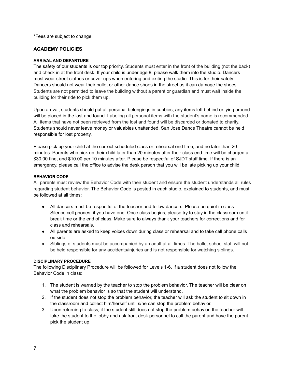\*Fees are subject to change.

## **ACADEMY POLICIES**

#### **ARRIVAL AND DEPARTURE**

The safety of our students is our top priority. Students must enter in the front of the building (not the back) and check in at the front desk. If your child is under age 8, please walk them into the studio. Dancers must wear street clothes or cover ups when entering and exiting the studio. This is for their safety. Dancers should not wear their ballet or other dance shoes in the street as it can damage the shoes. Students are not permitted to leave the building without a parent or guardian and must wait inside the building for their ride to pick them up.

Upon arrival, students should put all personal belongings in cubbies; any items left behind or lying around will be placed in the lost and found. Labeling all personal items with the student's name is recommended. All items that have not been retrieved from the lost and found will be discarded or donated to charity. Students should never leave money or valuables unattended. San Jose Dance Theatre cannot be held responsible for lost property.

Please pick up your child at the correct scheduled class or rehearsal end time, and no later than 20 minutes. Parents who pick up their child later than 20 minutes after their class end time will be charged a \$30.00 fine, and \$10.00 per 10 minutes after. Please be respectful of SJDT staff time. If there is an emergency, please call the office to advise the desk person that you will be late picking up your child.

#### **BEHAVIOR CODE**

All parents must review the Behavior Code with their student and ensure the student understands all rules regarding student behavior. The Behavior Code is posted in each studio, explained to students, and must be followed at all times:

- All dancers must be respectful of the teacher and fellow dancers. Please be quiet in class. Silence cell phones, if you have one. Once class begins, please try to stay in the classroom until break time or the end of class. Make sure to always thank your teachers for corrections and for class and rehearsals.
- All parents are asked to keep voices down during class or rehearsal and to take cell phone calls outside.
- Siblings of students must be accompanied by an adult at all times. The ballet school staff will not be held responsible for any accidents/injuries and is not responsible for watching siblings.

#### **DISCIPLINARY PROCEDURE**

The following Disciplinary Procedure will be followed for Levels 1-6. If a student does not follow the Behavior Code in class:

- 1. The student is warned by the teacher to stop the problem behavior. The teacher will be clear on what the problem behavior is so that the student will understand.
- 2. If the student does not stop the problem behavior, the teacher will ask the student to sit down in the classroom and collect him/herself until s/he can stop the problem behavior.
- 3. Upon returning to class, if the student still does not stop the problem behavior, the teacher will take the student to the lobby and ask front desk personnel to call the parent and have the parent pick the student up.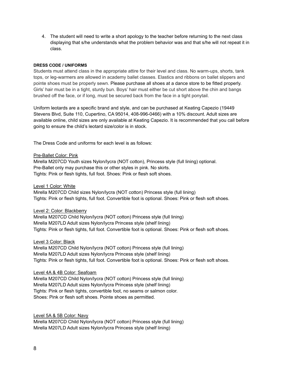4. The student will need to write a short apology to the teacher before returning to the next class displaying that s/he understands what the problem behavior was and that s/he will not repeat it in class.

#### **DRESS CODE / UNIFORMS**

Students must attend class in the appropriate attire for their level and class. No warm-ups, shorts, tank tops, or leg-warmers are allowed in academy ballet classes. Elastics and ribbons on ballet slippers and pointe shoes must be properly sewn. Please purchase all shoes at a dance store to be fitted properly. Girls' hair must be in a tight, sturdy bun. Boys' hair must either be cut short above the chin and bangs brushed off the face, or if long, must be secured back from the face in a tight ponytail.

Uniform leotards are a specific brand and style, and can be purchased at Keating Capezio (19449 Stevens Blvd, Suite 110, Cupertino, CA 95014, 408-996-0466) with a 10% discount. Adult sizes are available online, child sizes are only available at Keating Capezio. It is recommended that you call before going to ensure the child's leotard size/color is in stock.

The Dress Code and uniforms for each level is as follows:

#### Pre-Ballet Color: Pink

Mirella M207CD Youth sizes Nylon/lycra (NOT cotton), Princess style (full lining) optional. Pre-Ballet only may purchase this or other styles in pink. No skirts. Tights: Pink or flesh tights, full foot. Shoes: Pink or flesh soft shoes.

#### Level 1 Color: White

Mirella M207CD Child sizes Nylon/lycra (NOT cotton) Princess style (full lining) Tights: Pink or flesh tights, full foot. Convertible foot is optional. Shoes: Pink or flesh soft shoes.

#### Level 2: Color: Blackberry

Mirella M207CD Child Nylon/lycra (NOT cotton) Princess style (full lining) Mirella M207LD Adult sizes Nylon/lycra Princess style (shelf lining) Tights: Pink or flesh tights, full foot. Convertible foot is optional. Shoes: Pink or flesh soft shoes.

#### Level 3 Color: Black

Mirella M207CD Child Nylon/lycra (NOT cotton) Princess style (full lining) Mirella M207LD Adult sizes Nylon/lycra Princess style (shelf lining) Tights: Pink or flesh tights, full foot. Convertible foot is optional. Shoes: Pink or flesh soft shoes.

#### Level 4A & 4B Color: Seafoam

Mirella M207CD Child Nylon/lycra (NOT cotton) Princess style (full lining) Mirella M207LD Adult sizes Nylon/lycra Princess style (shelf lining) Tights: Pink or flesh tights, convertible foot, no seams or salmon color. Shoes: Pink or flesh soft shoes. Pointe shoes as permitted.

#### Level 5A & 5B Color: Navy

Mirella M207CD Child Nylon/lycra (NOT cotton) Princess style (full lining) Mirella M207LD Adult sizes Nylon/lycra Princess style (shelf lining)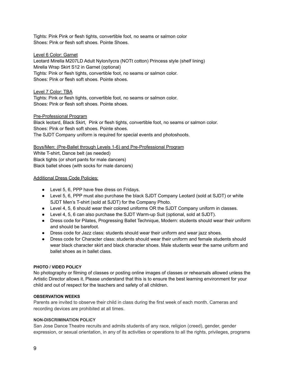Tights: Pink Pink or flesh tights, convertible foot, no seams or salmon color Shoes: Pink or flesh soft shoes. Pointe Shoes.

#### Level 6 Color: Garnet

Leotard Mirella M207LD Adult Nylon/lycra (NOTt cotton) Princess style (shelf lining) Mirella Wrap Skirt S12 in Garnet (optional) Tights: Pink or flesh tights, convertible foot, no seams or salmon color. Shoes: Pink or flesh soft shoes. Pointe shoes.

#### Level 7 Color: TBA

Tights: Pink or flesh tights, convertible foot, no seams or salmon color. Shoes: Pink or flesh soft shoes. Pointe shoes.

#### Pre-Professional Program

Black leotard, Black Skirt, Pink or flesh tights, convertible foot, no seams or salmon color. Shoes: Pink or flesh soft shoes. Pointe shoes. The SJDT Company uniform is required for special events and photoshoots.

Boys/Men: (Pre-Ballet through Levels 1-6) and Pre-Professional Program White T-shirt, Dance belt (as needed) Black tights (or short pants for male dancers) Black ballet shoes (with socks for male dancers)

#### Additional Dress Code Policies:

- Level 5, 6, PPP have free dress on Fridays.
- Level 5, 6, PPP must also purchase the black SJDT Company Leotard (sold at SJDT) or white SJDT Men's T-shirt (sold at SJDT) for the Company Photo.
- Level 4, 5, 6 should wear their colored uniforms OR the SJDT Company uniform in classes.
- Level 4, 5, 6 can also purchase the SJDT Warm-up Suit (optional, sold at SJDT).
- Dress code for Pilates, Progressing Ballet Technique, Modern: students should wear their uniform and should be barefoot.
- Dress code for Jazz class: students should wear their uniform and wear jazz shoes.
- Dress code for Character class: students should wear their uniform and female students should wear black character skirt and black character shoes. Male students wear the same uniform and ballet shoes as in ballet class.

#### **PHOTO / VIDEO POLICY**

No photography or filming of classes or posting online images of classes or rehearsals allowed unless the Artistic Director allows it. Please understand that this is to ensure the best learning environment for your child and out of respect for the teachers and safety of all children.

#### **OBSERVATION WEEKS**

Parents are invited to observe their child in class during the first week of each month. Cameras and recording devices are prohibited at all times.

#### **NON-DISCRIMINATION POLICY**

San Jose Dance Theatre recruits and admits students of any race, religion (creed), gender, gender expression, or sexual orientation, in any of its activities or operations to all the rights, privileges, programs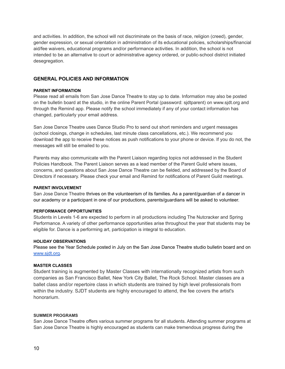and activities. In addition, the school will not discriminate on the basis of race, religion (creed), gender, gender expression, or sexual orientation in administration of its educational policies, scholarships/financial aid/fee waivers, educational programs and/or performance activities. In addition, the school is not intended to be an alternative to court or administrative agency ordered, or public-school district initiated desegregation.

#### **GENERAL POLICIES AND INFORMATION**

#### **PARENT INFORMATION**

Please read all emails from San Jose Dance Theatre to stay up to date. Information may also be posted on the bulletin board at the studio, in the online Parent Portal (password: sjdtparent) on www.sjdt.org and through the Remind app. Please notify the school immediately if any of your contact information has changed, particularly your email address.

San Jose Dance Theatre uses Dance Studio Pro to send out short reminders and urgent messages (school closings, change in schedules, last minute class cancellations, etc.). We recommend you download the app to receive these notices as push notifications to your phone or device. If you do not, the messages will still be emailed to you.

Parents may also communicate with the Parent Liaison regarding topics not addressed in the Student Policies Handbook. The Parent Liaison serves as a lead member of the Parent Guild where issues, concerns, and questions about San Jose Dance Theatre can be fielded, and addressed by the Board of Directors if necessary. Please check your email and Remind for notifications of Parent Guild meetings.

#### **PARENT INVOLVEMENT**

San Jose Dance Theatre thrives on the volunteerism of its families. As a parent/guardian of a dancer in our academy or a participant in one of our productions, parents/guardians will be asked to volunteer.

#### **PERFORMANCE OPPORTUNITIES**

Students in Levels 1-6 are expected to perform in all productions including The Nutcracker and Spring Performance. A variety of other performance opportunities arise throughout the year that students may be eligible for. Dance is a performing art, participation is integral to education.

#### **HOLIDAY OBSERVATIONS**

Please see the Year Schedule posted in July on the San Jose Dance Theatre studio bulletin board and on [www.sjdt.org.](http://www.sjdt.org)

#### **MASTER CLASSES**

Student training is augmented by Master Classes with internationally recognized artists from such companies as San Francisco Ballet, New York City Ballet, The Rock School. Master classes are a ballet class and/or repertoire class in which students are trained by high level professionals from within the industry. SJDT students are highly encouraged to attend, the fee covers the artist's honorarium.

#### **SUMMER PROGRAMS**

San Jose Dance Theatre offers various summer programs for all students. Attending summer programs at San Jose Dance Theatre is highly encouraged as students can make tremendous progress during the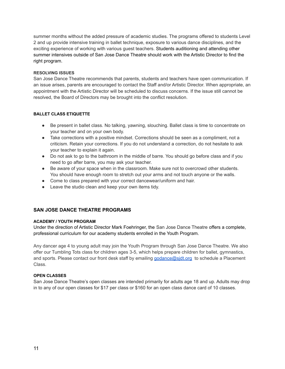summer months without the added pressure of academic studies. The programs offered to students Level 2 and up provide intensive training in ballet technique, exposure to various dance disciplines, and the exciting experience of working with various guest teachers. Students auditioning and attending other summer intensives outside of San Jose Dance Theatre should work with the Artistic Director to find the right program.

#### **RESOLVING ISSUES**

San Jose Dance Theatre recommends that parents, students and teachers have open communication. If an issue arises, parents are encouraged to contact the Staff and/or Artistic Director. When appropriate, an appointment with the Artistic Director will be scheduled to discuss concerns. If the issue still cannot be resolved, the Board of Directors may be brought into the conflict resolution.

#### **BALLET CLASS ETIQUETTE**

- Be present in ballet class. No talking, yawning, slouching. Ballet class is time to concentrate on your teacher and on your own body.
- Take corrections with a positive mindset. Corrections should be seen as a compliment, not a criticism. Retain your corrections. If you do not understand a correction, do not hesitate to ask your teacher to explain it again.
- Do not ask to go to the bathroom in the middle of barre. You should go before class and if you need to go after barre, you may ask your teacher.
- Be aware of your space when in the classroom. Make sure not to overcrowd other students. You should have enough room to stretch out your arms and not touch anyone or the walls.
- Come to class prepared with your correct dancewear/uniform and hair.
- Leave the studio clean and keep your own items tidy.

## **SAN JOSE DANCE THEATRE PROGRAMS**

#### **ACADEMY / YOUTH PROGRAM**

Under the direction of Artistic Director Mark Foehringer, the San Jose Dance Theatre offers a complete, professional curriculum for our academy students enrolled in the Youth Program.

Any dancer age 4 to young adult may join the Youth Program through San Jose Dance Theatre. We also offer our Tumbling Tots class for children ages 3-5, which helps prepare children for ballet, gymnastics, and sports. Please contact our front desk staff by emailing [godance@sjdt.org](mailto:godance@sjdt.org) to schedule a Placement Class.

#### **OPEN CLASSES**

San Jose Dance Theatre's open classes are intended primarily for adults age 18 and up. Adults may drop in to any of our open classes for \$17 per class or \$160 for an open class dance card of 10 classes.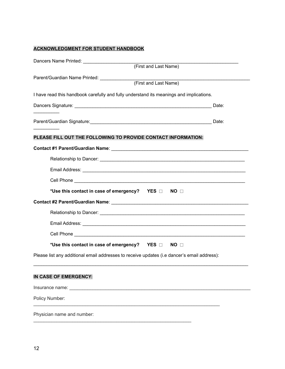# **ACKNOWLEDGMENT FOR STUDENT HANDBOOK**

| (First and Last Name)                                                                                          |  |
|----------------------------------------------------------------------------------------------------------------|--|
| Parent/Guardian Name Printed: _____________                                                                    |  |
| (First and Last Name)                                                                                          |  |
| I have read this handbook carefully and fully understand its meanings and implications.                        |  |
|                                                                                                                |  |
|                                                                                                                |  |
| Parent/Guardian Signature: Date: Date: Date: Date: Date: Date: Date: Date: Date: Date: Date: Date: Date: Date: |  |
|                                                                                                                |  |
| PLEASE FILL OUT THE FOLLOWING TO PROVIDE CONTACT INFORMATION:                                                  |  |
|                                                                                                                |  |
|                                                                                                                |  |
|                                                                                                                |  |
|                                                                                                                |  |
| *Use this contact in case of emergency?  YES NO                                                                |  |
|                                                                                                                |  |
|                                                                                                                |  |
|                                                                                                                |  |
|                                                                                                                |  |
| *Use this contact in case of emergency?  YES $\Box$ NO $\Box$                                                  |  |
| Please list any additional email addresses to receive updates (i.e dancer's email address):                    |  |
| IN CASE OF EMERGENCY:                                                                                          |  |
|                                                                                                                |  |
| Policy Number:                                                                                                 |  |
| Physician name and number:                                                                                     |  |